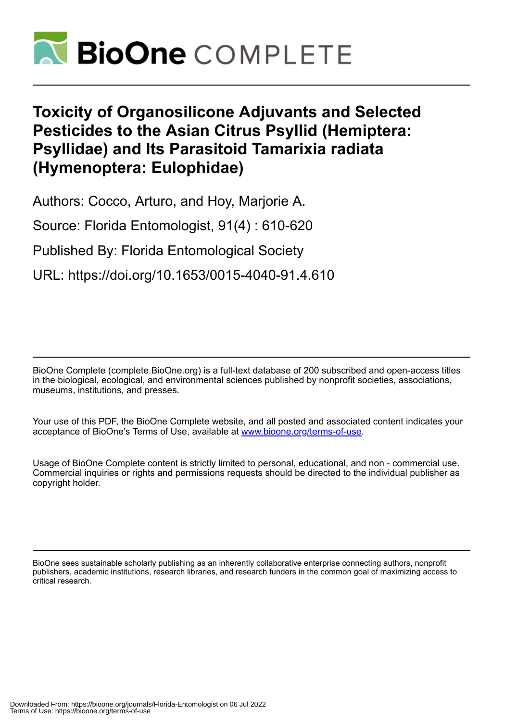

# **Toxicity of Organosilicone Adjuvants and Selected Pesticides to the Asian Citrus Psyllid (Hemiptera: Psyllidae) and Its Parasitoid Tamarixia radiata (Hymenoptera: Eulophidae)**

Authors: Cocco, Arturo, and Hoy, Marjorie A.

Source: Florida Entomologist, 91(4) : 610-620

Published By: Florida Entomological Society

URL: https://doi.org/10.1653/0015-4040-91.4.610

BioOne Complete (complete.BioOne.org) is a full-text database of 200 subscribed and open-access titles in the biological, ecological, and environmental sciences published by nonprofit societies, associations, museums, institutions, and presses.

Your use of this PDF, the BioOne Complete website, and all posted and associated content indicates your acceptance of BioOne's Terms of Use, available at www.bioone.org/terms-of-use.

Usage of BioOne Complete content is strictly limited to personal, educational, and non - commercial use. Commercial inquiries or rights and permissions requests should be directed to the individual publisher as copyright holder.

BioOne sees sustainable scholarly publishing as an inherently collaborative enterprise connecting authors, nonprofit publishers, academic institutions, research libraries, and research funders in the common goal of maximizing access to critical research.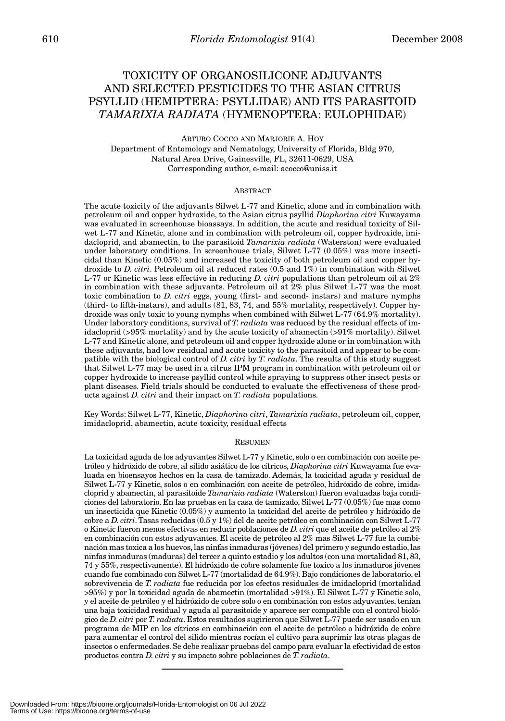# TOXICITY OF ORGANOSILICONE ADJUVANTS AND SELECTED PESTICIDES TO THE ASIAN CITRUS PSYLLID (HEMIPTERA: PSYLLIDAE) AND ITS PARASITOID *TAMARIXIA RADIATA* (HYMENOPTERA: EULOPHIDAE)

ARTURO COCCO AND MARJORIE A. HOY

Department of Entomology and Nematology, University of Florida, Bldg 970, Natural Area Drive, Gainesville, FL, 32611-0629, USA Corresponding author, e-mail: acocco@uniss.it

#### ABSTRACT

The acute toxicity of the adjuvants Silwet L-77 and Kinetic, alone and in combination with petroleum oil and copper hydroxide, to the Asian citrus psyllid *Diaphorina citri* Kuwayama was evaluated in screenhouse bioassays. In addition, the acute and residual toxicity of Silwet L-77 and Kinetic, alone and in combination with petroleum oil, copper hydroxide, imidacloprid, and abamectin, to the parasitoid *Tamarixia radiata* (Waterston) were evaluated under laboratory conditions. In screenhouse trials, Silwet L-77 (0.05%) was more insecticidal than Kinetic (0.05%) and increased the toxicity of both petroleum oil and copper hydroxide to *D. citri*. Petroleum oil at reduced rates (0.5 and 1%) in combination with Silwet L-77 or Kinetic was less effective in reducing *D. citri* populations than petroleum oil at 2% in combination with these adjuvants. Petroleum oil at 2% plus Silwet L-77 was the most toxic combination to *D. citri* eggs, young (first- and second- instars) and mature nymphs (third- to fifth-instars), and adults (81, 83, 74, and 55% mortality, respectively). Copper hydroxide was only toxic to young nymphs when combined with Silwet L-77 (64.9% mortality). Under laboratory conditions, survival of *T. radiata* was reduced by the residual effects of imidacloprid (>95% mortality) and by the acute toxicity of abamectin (>91% mortality). Silwet L-77 and Kinetic alone, and petroleum oil and copper hydroxide alone or in combination with these adjuvants, had low residual and acute toxicity to the parasitoid and appear to be compatible with the biological control of *D. citri* by *T. radiata*. The results of this study suggest that Silwet L-77 may be used in a citrus IPM program in combination with petroleum oil or copper hydroxide to increase psyllid control while spraying to suppress other insect pests or plant diseases. Field trials should be conducted to evaluate the effectiveness of these products against *D. citri* and their impact on *T. radiata* populations.

Key Words: Silwet L-77, Kinetic, *Diaphorina citri*, *Tamarixia radiata*, petroleum oil, copper, imidacloprid, abamectin, acute toxicity, residual effects

#### RESUMEN

La toxicidad aguda de los adyuvantes Silwet L-77 y Kinetic, solo o en combinación con aceite petróleo y hidróxido de cobre, al sílido asiático de los cítricos, *Diaphorina citri* Kuwayama fue evaluada en bioensayos hechos en la casa de tamizado. Además, la toxicidad aguda y residual de Silwet L-77 y Kinetic, solos o en combinación con aceite de petróleo, hidróxido de cobre, imidacloprid y abamectin, al parasitoide *Tamarixia radiata* (Waterston) fueron evaluadas baja condiciones del laboratorio. En las pruebas en la casa de tamizado, Silwet L-77 (0.05%) fue mas como un insecticida que Kinetic (0.05%) y aumento la toxicidad del aceite de petróleo y hidróxido de cobre a *D. citri*. Tasas reducidas (0.5 y 1%) del de aceite petróleo en combinación con Silwet L-77 o Kinetic fueron menos efectivas en reducir poblaciones de *D. citri* que el aceite de petróleo al 2% en combinación con estos adyuvantes. El aceite de petróleo al 2% mas Silwet L-77 fue la combinación mas toxica a los huevos, las ninfas inmaduras (jóvenes) del primero y segundo estadio, las ninfas inmaduras (maduras) del tercer a quinto estadio y los adultos (con una mortalidad 81, 83, 74 y 55%, respectivamente). El hidróxido de cobre solamente fue toxico a los inmaduros jóvenes cuando fue combinado con Silwet L-77 (mortalidad de 64.9%). Bajo condiciones de laboratorio, el sobrevivencia de *T. radiata* fue reducida por los efectos residuales de imidacloprid (mortalidad >95%) y por la toxicidad aguda de abamectin (mortalidad >91%). El Silwet L-77 y Kinetic solo, y el aceite de petróleo y el hidróxido de cobre solo o en combinación con estos adyuvantes, tenían una baja toxicidad residual y aguda al parasitoide y aparece ser compatible con el control biológico de *D. citri* por *T. radiata*. Estos resultados sugirieron que Silwet L-77 puede ser usado en un programa de MIP en los cítricos en combinación con el aceite de petróleo o hidróxido de cobre para aumentar el control del silido mientras rocían el cultivo para suprimir las otras plagas de insectos o enfermedades. Se debe realizar pruebas del campo para evaluar la efectividad de estos productos contra *D. citri* y su impacto sobre poblaciones de *T. radiata*.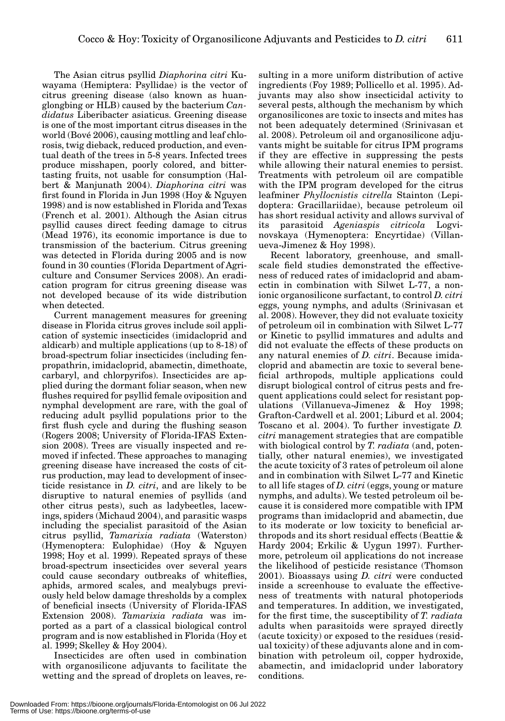The Asian citrus psyllid *Diaphorina citri* Kuwayama (Hemiptera: Psyllidae) is the vector of citrus greening disease (also known as huanglongbing or HLB) caused by the bacterium *Candidatus* Liberibacter asiaticus. Greening disease is one of the most important citrus diseases in the world (Bové 2006), causing mottling and leaf chlorosis, twig dieback, reduced production, and eventual death of the trees in 5-8 years. Infected trees produce misshapen, poorly colored, and bittertasting fruits, not usable for consumption (Halbert & Manjunath 2004). *Diaphorina citri* was first found in Florida in Jun 1998 (Hoy & Nguyen 1998) and is now established in Florida and Texas (French et al. 2001). Although the Asian citrus psyllid causes direct feeding damage to citrus (Mead 1976), its economic importance is due to transmission of the bacterium. Citrus greening was detected in Florida during 2005 and is now found in 30 counties (Florida Department of Agriculture and Consumer Services 2008). An eradication program for citrus greening disease was not developed because of its wide distribution when detected.

Current management measures for greening disease in Florida citrus groves include soil application of systemic insecticides (imidacloprid and aldicarb) and multiple applications (up to 8-18) of broad-spectrum foliar insecticides (including fenpropathrin, imidacloprid, abamectin, dimethoate, carbaryl, and chlorpyrifos). Insecticides are applied during the dormant foliar season, when new flushes required for psyllid female oviposition and nymphal development are rare, with the goal of reducing adult psyllid populations prior to the first flush cycle and during the flushing season (Rogers 2008; University of Florida-IFAS Extension 2008). Trees are visually inspected and removed if infected. These approaches to managing greening disease have increased the costs of citrus production, may lead to development of insecticide resistance in *D. citri*, and are likely to be disruptive to natural enemies of psyllids (and other citrus pests), such as ladybeetles, lacewings, spiders (Michaud 2004), and parasitic wasps including the specialist parasitoid of the Asian citrus psyllid, *Tamarixia radiata* (Waterston) (Hymenoptera: Eulophidae) (Hoy & Nguyen 1998; Hoy et al. 1999). Repeated sprays of these broad-spectrum insecticides over several years could cause secondary outbreaks of whiteflies, aphids, armored scales, and mealybugs previously held below damage thresholds by a complex of beneficial insects (University of Florida-IFAS Extension 2008). *Tamarixia radiata* was imported as a part of a classical biological control program and is now established in Florida (Hoy et al. 1999; Skelley & Hoy 2004).

Insecticides are often used in combination with organosilicone adjuvants to facilitate the wetting and the spread of droplets on leaves, re-

sulting in a more uniform distribution of active ingredients (Foy 1989; Pollicello et al. 1995). Adjuvants may also show insecticidal activity to several pests, although the mechanism by which organosilicones are toxic to insects and mites has not been adequately determined (Srinivasan et al. 2008). Petroleum oil and organosilicone adjuvants might be suitable for citrus IPM programs if they are effective in suppressing the pests while allowing their natural enemies to persist. Treatments with petroleum oil are compatible with the IPM program developed for the citrus leafminer *Phyllocnistis citrella* Stainton (Lepidoptera: Gracillariidae), because petroleum oil has short residual activity and allows survival of its parasitoid *Ageniaspis citricola* Logvinovskaya (Hymenoptera: Encyrtidae) (Villanueva-Jimenez & Hoy 1998).

Recent laboratory, greenhouse, and smallscale field studies demonstrated the effectiveness of reduced rates of imidacloprid and abamectin in combination with Silwet L-77, a nonionic organosilicone surfactant, to control *D. citri* eggs, young nymphs, and adults (Srinivasan et al. 2008). However, they did not evaluate toxicity of petroleum oil in combination with Silwet L-77 or Kinetic to psyllid immatures and adults and did not evaluate the effects of these products on any natural enemies of *D. citri*. Because imidacloprid and abamectin are toxic to several beneficial arthropods, multiple applications could disrupt biological control of citrus pests and frequent applications could select for resistant populations (Villanueva-Jimenez & Hoy 1998; Grafton-Cardwell et al. 2001; Liburd et al. 2004; Toscano et al. 2004). To further investigate *D. citri* management strategies that are compatible with biological control by *T. radiata* (and, potentially, other natural enemies), we investigated the acute toxicity of 3 rates of petroleum oil alone and in combination with Silwet L-77 and Kinetic to all life stages of *D. citri* (eggs, young or mature nymphs, and adults). We tested petroleum oil because it is considered more compatible with IPM programs than imidacloprid and abamectin, due to its moderate or low toxicity to beneficial arthropods and its short residual effects (Beattie & Hardy 2004; Erkilic & Uygun 1997). Furthermore, petroleum oil applications do not increase the likelihood of pesticide resistance (Thomson 2001). Bioassays using *D. citri* were conducted inside a screenhouse to evaluate the effectiveness of treatments with natural photoperiods and temperatures. In addition, we investigated, for the first time, the susceptibility of *T. radiata* adults when parasitoids were sprayed directly (acute toxicity) or exposed to the residues (residual toxicity) of these adjuvants alone and in combination with petroleum oil, copper hydroxide, abamectin, and imidacloprid under laboratory conditions.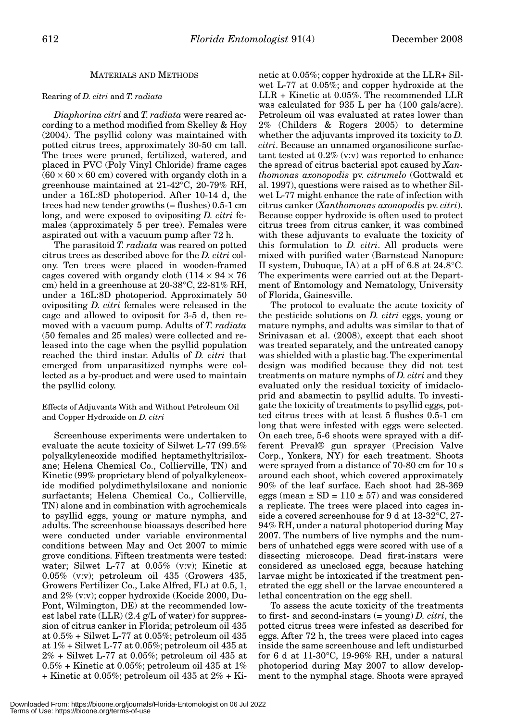### MATERIALS AND METHODS

#### Rearing of *D. citri* and *T. radiata*

*Diaphorina citri* and *T. radiata* were reared according to a method modified from Skelley & Hoy (2004). The psyllid colony was maintained with potted citrus trees, approximately 30-50 cm tall. The trees were pruned, fertilized, watered, and placed in PVC (Poly Vinyl Chloride) frame cages  $(60 \times 60 \times 60$  cm) covered with organdy cloth in a greenhouse maintained at 21-42°C, 20-79% RH, under a 16L:8D photoperiod. After 10-14 d, the trees had new tender growths (= flushes) 0.5-1 cm long, and were exposed to ovipositing *D. citri* females (approximately 5 per tree). Females were aspirated out with a vacuum pump after 72 h.

The parasitoid *T. radiata* was reared on potted citrus trees as described above for the *D. citri* colony. Ten trees were placed in wooden-framed cages covered with organdy cloth  $(114 \times 94 \times 76)$ cm) held in a greenhouse at 20-38°C, 22-81% RH, under a 16L:8D photoperiod. Approximately 50 ovipositing *D. citri* females were released in the cage and allowed to oviposit for 3-5 d, then removed with a vacuum pump. Adults of *T. radiata* (50 females and 25 males) were collected and released into the cage when the psyllid population reached the third instar. Adults of *D. citri* that emerged from unparasitized nymphs were collected as a by-product and were used to maintain the psyllid colony.

#### Effects of Adjuvants With and Without Petroleum Oil and Copper Hydroxide on *D. citri*

Screenhouse experiments were undertaken to evaluate the acute toxicity of Silwet L-77 (99.5% polyalkyleneoxide modified heptamethyltrisiloxane; Helena Chemical Co., Collierville, TN) and Kinetic (99% proprietary blend of polyalkyleneoxide modified polydimethylsiloxane and nonionic surfactants; Helena Chemical Co., Collierville, TN) alone and in combination with agrochemicals to psyllid eggs, young or mature nymphs, and adults. The screenhouse bioassays described here were conducted under variable environmental conditions between May and Oct 2007 to mimic grove conditions. Fifteen treatments were tested: water; Silwet L-77 at 0.05% (v:v); Kinetic at 0.05% (v:v); petroleum oil 435 (Growers 435, Growers Fertilizer Co., Lake Alfred, FL) at 0.5, 1, and 2% (v:v); copper hydroxide (Kocide 2000, Du-Pont, Wilmington, DE) at the recommended lowest label rate  $(LLR)$  (2.4 g/L of water) for suppression of citrus canker in Florida; petroleum oil 435 at 0.5% + Silwet L-77 at 0.05%; petroleum oil 435 at 1% + Silwet L-77 at 0.05%; petroleum oil 435 at 2% + Silwet L-77 at 0.05%; petroleum oil 435 at  $0.5\%$  + Kinetic at 0.05%; petroleum oil 435 at 1% + Kinetic at 0.05%; petroleum oil 435 at 2% + Kinetic at 0.05%; copper hydroxide at the LLR+ Silwet L-77 at 0.05%; and copper hydroxide at the LLR + Kinetic at 0.05%. The recommended LLR was calculated for 935 L per ha (100 gals/acre). Petroleum oil was evaluated at rates lower than 2% (Childers & Rogers 2005) to determine whether the adjuvants improved its toxicity to *D. citri*. Because an unnamed organosilicone surfactant tested at 0.2% (v:v) was reported to enhance the spread of citrus bacterial spot caused by *Xanthomonas axonopodis* pv. *citrumelo* (Gottwald et al. 1997), questions were raised as to whether Silwet L-77 might enhance the rate of infection with citrus canker (*Xanthomonas axonopodis* pv. *citri*). Because copper hydroxide is often used to protect citrus trees from citrus canker, it was combined with these adjuvants to evaluate the toxicity of this formulation to *D. citri*. All products were mixed with purified water (Barnstead Nanopure II system, Dubuque, IA) at a pH of 6.8 at 24.8°C. The experiments were carried out at the Department of Entomology and Nematology, University of Florida, Gainesville.

The protocol to evaluate the acute toxicity of the pesticide solutions on *D. citri* eggs, young or mature nymphs, and adults was similar to that of Srinivasan et al. (2008), except that each shoot was treated separately, and the untreated canopy was shielded with a plastic bag. The experimental design was modified because they did not test treatments on mature nymphs of *D. citri* and they evaluated only the residual toxicity of imidacloprid and abamectin to psyllid adults. To investigate the toxicity of treatments to psyllid eggs, potted citrus trees with at least 5 flushes 0.5-1 cm long that were infested with eggs were selected. On each tree, 5-6 shoots were sprayed with a different Preval® gun sprayer (Precision Valve Corp., Yonkers, NY) for each treatment. Shoots were sprayed from a distance of 70-80 cm for 10 s around each shoot, which covered approximately 90% of the leaf surface. Each shoot had 28-369 eggs (mean  $\pm$  SD = 110  $\pm$  57) and was considered a replicate. The trees were placed into cages inside a covered screenhouse for 9 d at 13-32°C, 27- 94% RH, under a natural photoperiod during May 2007. The numbers of live nymphs and the numbers of unhatched eggs were scored with use of a dissecting microscope. Dead first-instars were considered as uneclosed eggs, because hatching larvae might be intoxicated if the treatment penetrated the egg shell or the larvae encountered a lethal concentration on the egg shell.

To assess the acute toxicity of the treatments to first- and second-instars (= young) *D. citri*, the potted citrus trees were infested as described for eggs. After 72 h, the trees were placed into cages inside the same screenhouse and left undisturbed for 6 d at 11-30°C, 19-96% RH, under a natural photoperiod during May 2007 to allow development to the nymphal stage. Shoots were sprayed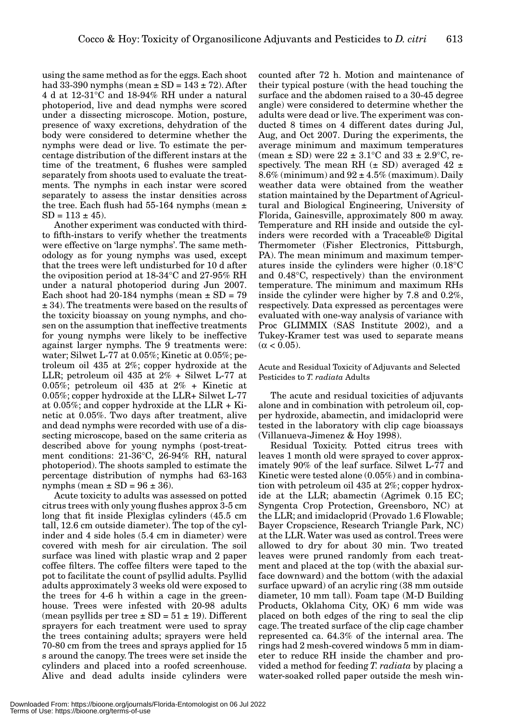using the same method as for the eggs. Each shoot had 33-390 nymphs (mean  $\pm$  SD = 143  $\pm$  72). After 4 d at 12-31°C and 18-94% RH under a natural photoperiod, live and dead nymphs were scored under a dissecting microscope. Motion, posture, presence of waxy excretions, dehydration of the body were considered to determine whether the nymphs were dead or live. To estimate the percentage distribution of the different instars at the time of the treatment, 6 flushes were sampled separately from shoots used to evaluate the treatments. The nymphs in each instar were scored separately to assess the instar densities across the tree. Each flush had 55-164 nymphs (mean  $\pm$  $SD = 113 \pm 45$ .

Another experiment was conducted with thirdto fifth-instars to verify whether the treatments were effective on 'large nymphs'. The same methodology as for young nymphs was used, except that the trees were left undisturbed for 10 d after the oviposition period at 18-34°C and 27-95% RH under a natural photoperiod during Jun 2007. Each shoot had 20-184 nymphs (mean  $\pm$  SD = 79 ± 34). The treatments were based on the results of the toxicity bioassay on young nymphs, and chosen on the assumption that ineffective treatments for young nymphs were likely to be ineffective against larger nymphs. The 9 treatments were: water; Silwet L-77 at 0.05%; Kinetic at 0.05%; petroleum oil 435 at 2%; copper hydroxide at the LLR; petroleum oil 435 at 2% + Silwet L-77 at 0.05%; petroleum oil 435 at 2% + Kinetic at 0.05%; copper hydroxide at the LLR+ Silwet L-77 at 0.05%; and copper hydroxide at the LLR + Kinetic at 0.05%. Two days after treatment, alive and dead nymphs were recorded with use of a dissecting microscope, based on the same criteria as described above for young nymphs (post-treatment conditions: 21-36°C, 26-94% RH, natural photoperiod). The shoots sampled to estimate the percentage distribution of nymphs had 63-163 nymphs (mean  $\pm$  SD = 96  $\pm$  36).

Acute toxicity to adults was assessed on potted citrus trees with only young flushes approx 3-5 cm long that fit inside Plexiglas cylinders (45.5 cm tall, 12.6 cm outside diameter). The top of the cylinder and 4 side holes (5.4 cm in diameter) were covered with mesh for air circulation. The soil surface was lined with plastic wrap and 2 paper coffee filters. The coffee filters were taped to the pot to facilitate the count of psyllid adults. Psyllid adults approximately 3 weeks old were exposed to the trees for 4-6 h within a cage in the greenhouse. Trees were infested with 20-98 adults (mean psyllids per tree  $\pm$  SD = 51  $\pm$  19). Different sprayers for each treatment were used to spray the trees containing adults; sprayers were held 70-80 cm from the trees and sprays applied for 15 s around the canopy. The trees were set inside the cylinders and placed into a roofed screenhouse. Alive and dead adults inside cylinders were

counted after 72 h. Motion and maintenance of their typical posture (with the head touching the surface and the abdomen raised to a 30-45 degree angle) were considered to determine whether the adults were dead or live. The experiment was conducted 8 times on 4 different dates during Jul, Aug, and Oct 2007. During the experiments, the average minimum and maximum temperatures (mean  $\pm$  SD) were 22  $\pm$  3.1°C and 33  $\pm$  2.9°C, respectively. The mean RH  $(\pm$  SD) averaged 42  $\pm$  $8.6\%$  (minimum) and  $92 \pm 4.5\%$  (maximum). Daily weather data were obtained from the weather station maintained by the Department of Agricultural and Biological Engineering, University of Florida, Gainesville, approximately 800 m away. Temperature and RH inside and outside the cylinders were recorded with a Traceable® Digital Thermometer (Fisher Electronics, Pittsburgh, PA). The mean minimum and maximum temperatures inside the cylinders were higher (0.18°C and 0.48°C, respectively) than the environment temperature. The minimum and maximum RHs inside the cylinder were higher by 7.8 and 0.2%, respectively. Data expressed as percentages were evaluated with one-way analysis of variance with Proc GLIMMIX (SAS Institute 2002), and a Tukey-Kramer test was used to separate means  $(α < 0.05)$ .

#### Acute and Residual Toxicity of Adjuvants and Selected Pesticides to *T. radiata* Adults

The acute and residual toxicities of adjuvants alone and in combination with petroleum oil, copper hydroxide, abamectin, and imidacloprid were tested in the laboratory with clip cage bioassays (Villanueva-Jimenez & Hoy 1998).

Residual Toxicity*.* Potted citrus trees with leaves 1 month old were sprayed to cover approximately 90% of the leaf surface. Silwet L-77 and Kinetic were tested alone (0.05%) and in combination with petroleum oil 435 at 2%; copper hydroxide at the LLR; abamectin (Agrimek 0.15 EC; Syngenta Crop Protection, Greensboro, NC) at the LLR; and imidacloprid (Provado 1.6 Flowable; Bayer Cropscience, Research Triangle Park, NC) at the LLR. Water was used as control. Trees were allowed to dry for about 30 min. Two treated leaves were pruned randomly from each treatment and placed at the top (with the abaxial surface downward) and the bottom (with the adaxial surface upward) of an acrylic ring (38 mm outside diameter, 10 mm tall). Foam tape (M-D Building Products, Oklahoma City, OK) 6 mm wide was placed on both edges of the ring to seal the clip cage. The treated surface of the clip cage chamber represented ca. 64.3% of the internal area. The rings had 2 mesh-covered windows 5 mm in diameter to reduce RH inside the chamber and provided a method for feeding *T. radiata* by placing a water-soaked rolled paper outside the mesh win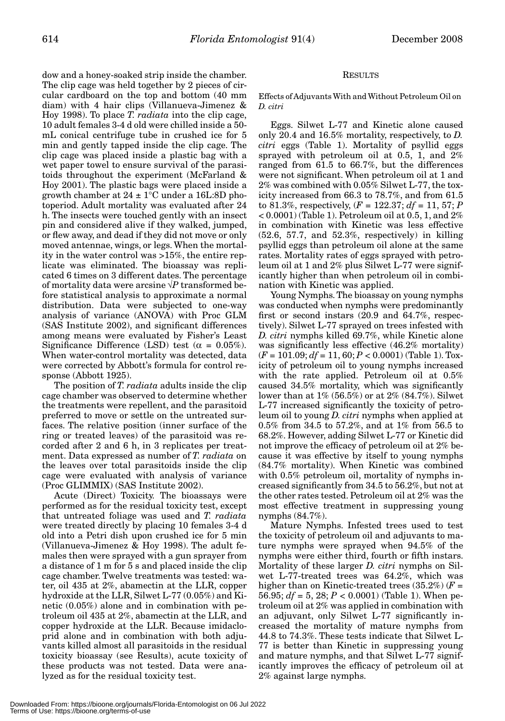dow and a honey-soaked strip inside the chamber. The clip cage was held together by 2 pieces of circular cardboard on the top and bottom (40 mm diam) with 4 hair clips (Villanueva-Jimenez & Hoy 1998). To place *T. radiata* into the clip cage, 10 adult females 3-4 d old were chilled inside a 50 mL conical centrifuge tube in crushed ice for 5 min and gently tapped inside the clip cage. The clip cage was placed inside a plastic bag with a wet paper towel to ensure survival of the parasitoids throughout the experiment (McFarland & Hoy 2001). The plastic bags were placed inside a growth chamber at  $24 \pm 1$ °C under a 16L:8D photoperiod. Adult mortality was evaluated after 24 h. The insects were touched gently with an insect pin and considered alive if they walked, jumped, or flew away, and dead if they did not move or only moved antennae, wings, or legs. When the mortality in the water control was >15%, the entire replicate was eliminated. The bioassay was replicated 6 times on 3 different dates. The percentage of mortality data were arcsine √*P* transformed before statistical analysis to approximate a normal distribution. Data were subjected to one-way analysis of variance (ANOVA) with Proc GLM (SAS Institute 2002), and significant differences among means were evaluated by Fisher's Least Significance Difference (LSD) test ( $\alpha = 0.05\%$ ). When water-control mortality was detected, data were corrected by Abbott's formula for control response (Abbott 1925).

The position of *T. radiata* adults inside the clip cage chamber was observed to determine whether the treatments were repellent, and the parasitoid preferred to move or settle on the untreated surfaces. The relative position (inner surface of the ring or treated leaves) of the parasitoid was recorded after 2 and 6 h, in 3 replicates per treatment. Data expressed as number of *T. radiata* on the leaves over total parasitoids inside the clip cage were evaluated with analysis of variance (Proc GLIMMIX) (SAS Institute 2002).

Acute (Direct) Toxicity*.* The bioassays were performed as for the residual toxicity test, except that untreated foliage was used and *T. radiata* were treated directly by placing 10 females 3-4 d old into a Petri dish upon crushed ice for 5 min (Villanueva-Jimenez & Hoy 1998). The adult females then were sprayed with a gun sprayer from a distance of 1 m for 5 s and placed inside the clip cage chamber. Twelve treatments was tested: water, oil 435 at 2%, abamectin at the LLR, copper hydroxide at the LLR, Silwet L-77 (0.05%) and Kinetic (0.05%) alone and in combination with petroleum oil 435 at 2%, abamectin at the LLR, and copper hydroxide at the LLR. Because imidacloprid alone and in combination with both adjuvants killed almost all parasitoids in the residual toxicity bioassay (see Results), acute toxicity of these products was not tested. Data were analyzed as for the residual toxicity test.

## RESULTS

Effects of Adjuvants With and Without Petroleum Oil on *D. citri*

Eggs. Silwet L-77 and Kinetic alone caused only 20.4 and 16.5% mortality, respectively, to *D. citri* eggs (Table 1). Mortality of psyllid eggs sprayed with petroleum oil at 0.5, 1, and 2% ranged from 61.5 to 66.7%, but the differences were not significant. When petroleum oil at 1 and 2% was combined with 0.05% Silwet L-77, the toxicity increased from 66.3 to 78.7%, and from 61.5 to 81.3%, respectively,  $(F = 122.37; df = 11, 57; P$ < 0.0001) (Table 1). Petroleum oil at 0.5, 1, and 2% in combination with Kinetic was less effective (52.6, 57.7, and 52.3%, respectively) in killing psyllid eggs than petroleum oil alone at the same rates. Mortality rates of eggs sprayed with petroleum oil at 1 and 2% plus Silwet L-77 were significantly higher than when petroleum oil in combination with Kinetic was applied.

Young Nymphs. The bioassay on young nymphs was conducted when nymphs were predominantly first or second instars (20.9 and 64.7%, respectively). Silwet L-77 sprayed on trees infested with *D. citri* nymphs killed 69.7%, while Kinetic alone was significantly less effective (46.2% mortality) (*F* = 101.09; *df* = 11, 60; *P* < 0.0001) (Table 1). Toxicity of petroleum oil to young nymphs increased with the rate applied. Petroleum oil at 0.5% caused 34.5% mortality, which was significantly lower than at 1% (56.5%) or at 2% (84.7%). Silwet L-77 increased significantly the toxicity of petroleum oil to young *D. citri* nymphs when applied at 0.5% from 34.5 to 57.2%, and at 1% from 56.5 to 68.2%. However, adding Silwet L-77 or Kinetic did not improve the efficacy of petroleum oil at 2% because it was effective by itself to young nymphs (84.7% mortality). When Kinetic was combined with 0.5% petroleum oil, mortality of nymphs increased significantly from 34.5 to 56.2%, but not at the other rates tested. Petroleum oil at 2% was the most effective treatment in suppressing young nymphs (84.7%).

Mature Nymphs. Infested trees used to test the toxicity of petroleum oil and adjuvants to mature nymphs were sprayed when 94.5% of the nymphs were either third, fourth or fifth instars. Mortality of these larger *D. citri* nymphs on Silwet L-77-treated trees was 64.2%, which was higher than on Kinetic-treated trees (35.2%) (*F* = 56.95; *df* = 5, 28; *P* < 0.0001) (Table 1). When petroleum oil at 2% was applied in combination with an adjuvant, only Silwet L-77 significantly increased the mortality of mature nymphs from 44.8 to 74.3%. These tests indicate that Silwet L-77 is better than Kinetic in suppressing young and mature nymphs, and that Silwet L-77 significantly improves the efficacy of petroleum oil at 2% against large nymphs.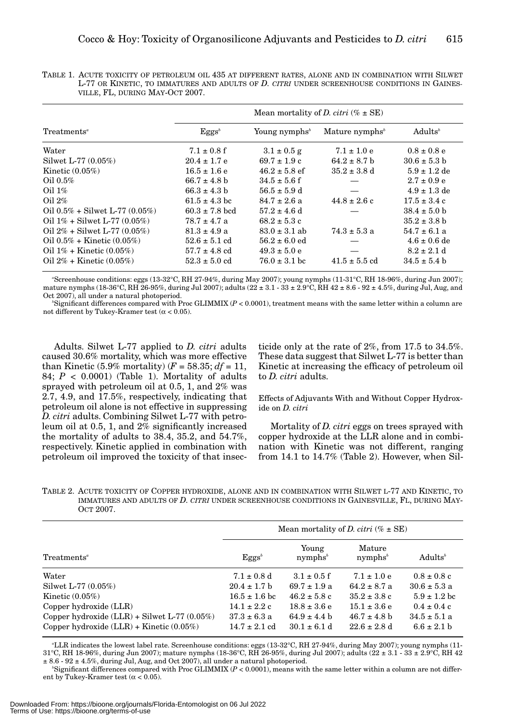|                                      | Mean mortality of <i>D. citri</i> ( $% \pm SE$ ) |                           |                            |                     |  |
|--------------------------------------|--------------------------------------------------|---------------------------|----------------------------|---------------------|--|
| Treatments <sup>a</sup>              | $Eggg^b$                                         | Young nymphs <sup>b</sup> | Mature nymphs <sup>b</sup> | Adults <sup>b</sup> |  |
| Water                                | $7.1 \pm 0.8$ f                                  | $3.1 \pm 0.5$ g           | $7.1 \pm 1.0 e$            | $0.8 \pm 0.8$ e     |  |
| Silwet L-77 (0.05%)                  | $20.4 \pm 1.7$ e                                 | $69.7 \pm 1.9$ c          | $64.2 \pm 8.7$ b           | $30.6 \pm 5.3$ b    |  |
| Kinetic $(0.05\%)$                   | $16.5 \pm 1.6 e$                                 | $46.2 \pm 5.8$ ef         | $35.2 \pm 3.8$ d           | $5.9 \pm 1.2$ de    |  |
| Oil $0.5\%$                          | $66.7 \pm 4.8$ b                                 | $34.5 \pm 5.6$ f          |                            | $2.7 \pm 0.9 e$     |  |
| Oil $1\%$                            | $66.3 \pm 4.3$ b                                 | $56.5 \pm 5.9$ d          |                            | $4.9 \pm 1.3$ de    |  |
| Oil $2\%$                            | $61.5 \pm 4.3$ bc                                | $84.7 \pm 2.6$ a          | $44.8 \pm 2.6$ c           | $17.5 \pm 3.4$ c    |  |
| Oil $0.5\%$ + Silwet L-77 $(0.05\%)$ | $60.3 \pm 7.8$ bcd                               | $57.2 \pm 4.6$ d          |                            | $38.4 \pm 5.0$ b    |  |
| Oil $1\%$ + Silwet L-77 (0.05%)      | $78.7 \pm 4.7$ a                                 | $68.2 \pm 5.3$ c          |                            | $35.2 \pm 3.8$ b    |  |
| Oil $2\%$ + Silwet L-77 (0.05%)      | $81.3 \pm 4.9 a$                                 | $83.0 \pm 3.1$ ab         | $74.3 \pm 5.3 a$           | $54.7 \pm 6.1$ a    |  |
| Oil $0.5\%$ + Kinetic $(0.05\%)$     | $52.6 \pm 5.1$ cd                                | $56.2 \pm 6.0$ ed         |                            | $4.6 \pm 0.6$ de    |  |
| Oil $1\%$ + Kinetic $(0.05\%)$       | $57.7 \pm 4.8$ cd                                | $49.3 \pm 5.0 e$          |                            | $8.2 \pm 2.1$ d     |  |
| Oil $2\%$ + Kinetic $(0.05\%)$       | $52.3 \pm 5.0$ cd                                | $76.0 \pm 3.1$ bc         | $41.5 \pm 5.5$ cd          | $34.5 \pm 5.4$ b    |  |

TABLE 1. ACUTE TOXICITY OF PETROLEUM OIL 435 AT DIFFERENT RATES, ALONE AND IN COMBINATION WITH SILWET L-77 OR KINETIC, TO IMMATURES AND ADULTS OF *D. CITRI* UNDER SCREENHOUSE CONDITIONS IN GAINES-VILLE, FL, DURING MAY-OCT 2007.

*a* Screenhouse conditions: eggs (13-32°C, RH 27-94%, during May 2007); young nymphs (11-31°C, RH 18-96%, during Jun 2007); mature nymphs (18-36°C, RH 26-95%, during Jul 2007); adults (22 ± 3.1 - 33 ± 2.9°C, RH 42 ± 8.6 - 92 ± 4.5%, during Jul, Aug, and Oct 2007), all under a natural photoperiod.

 $b$ Significant differences compared with Proc GLIMMIX (*P* < 0.0001), treatment means with the same letter within a column are not different by Tukey-Kramer test (α < 0.05).

Adults. Silwet L-77 applied to *D. citri* adults caused 30.6% mortality, which was more effective than Kinetic (5.9% mortality)  $(F = 58.35; df = 11,$ 84;  $P < 0.0001$ ) (Table 1). Mortality of adults sprayed with petroleum oil at 0.5, 1, and 2% was 2.7, 4.9, and 17.5%, respectively, indicating that petroleum oil alone is not effective in suppressing *D. citri* adults. Combining Silwet L-77 with petroleum oil at 0.5, 1, and 2% significantly increased the mortality of adults to 38.4, 35.2, and 54.7%, respectively. Kinetic applied in combination with petroleum oil improved the toxicity of that insecticide only at the rate of 2%, from 17.5 to 34.5%. These data suggest that Silwet L-77 is better than Kinetic at increasing the efficacy of petroleum oil to *D. citri* adults.

Effects of Adjuvants With and Without Copper Hydroxide on *D. citri*

Mortality of *D. citri* eggs on trees sprayed with copper hydroxide at the LLR alone and in combination with Kinetic was not different, ranging from 14.1 to 14.7% (Table 2). However, when Sil-

TABLE 2. ACUTE TOXICITY OF COPPER HYDROXIDE, ALONE AND IN COMBINATION WITH SILWET L-77 AND KINETIC, TO IMMATURES AND ADULTS OF *D. CITRI* UNDER SCREENHOUSE CONDITIONS IN GAINESVILLE, FL, DURING MAY-OCT 2007.

|                                                   | Mean mortality of <i>D. citri</i> ( $% \pm SE$ ) |                                                     |                                                      |                     |
|---------------------------------------------------|--------------------------------------------------|-----------------------------------------------------|------------------------------------------------------|---------------------|
| Treatments <sup>a</sup>                           | $Eggs^b$                                         | Young<br>nymphs <sup><math>\frac{b}{b}</math></sup> | Mature<br>nymphs <sup><math>\frac{b}{b}</math></sup> | Adults <sup>b</sup> |
| Water                                             | $7.1 \pm 0.8$ d                                  | $3.1 \pm 0.5$ f                                     | $7.1 \pm 1.0 e$                                      | $0.8 \pm 0.8$ c     |
| Silwet L-77 $(0.05\%)$                            | $20.4 \pm 1.7$ b                                 | $69.7 \pm 1.9 a$                                    | $64.2 \pm 8.7$ a                                     | $30.6 \pm 5.3 a$    |
| Kinetic $(0.05\%)$                                | $16.5 \pm 1.6$ bc                                | $46.2 \pm 5.8$ c                                    | $35.2 \pm 3.8$ c                                     | $5.9 \pm 1.2$ bc    |
| Copper hydroxide $(LLR)$                          | $14.1 \pm 2.2$ c                                 | $18.8 \pm 3.6 e$                                    | $15.1 \pm 3.6 e$                                     | $0.4 \pm 0.4$ c     |
| Copper hydroxide $(LLR)$ + Silwet L-77 $(0.05\%)$ | $37.3 \pm 6.3$ a                                 | $64.9 \pm 4.4 h$                                    | $46.7 \pm 4.8$ b                                     | $34.5 \pm 5.1 a$    |
| Copper hydroxide $(LLR)$ + Kinetic $(0.05\%)$     | $14.7 \pm 2.1$ cd                                | $30.1 \pm 6.1$ d                                    | $22.6 \pm 2.8$ d                                     | $6.6 \pm 2.1 h$     |

*a* LLR indicates the lowest label rate. Screenhouse conditions: eggs (13-32°C, RH 27-94%, during May 2007); young nymphs (11- 31°C, RH 18-96%, during Jun 2007); mature nymphs (18-36°C, RH 26-95%, during Jul 2007); adults (22 ± 3.1 - 33 ± 2.9°C, RH 42 ± 8.6 - 92 ± 4.5%, during Jul, Aug, and Oct 2007), all under a natural photoperiod.

 $b$ Significant differences compared with Proc GLIMMIX ( $P < 0.0001$ ), means with the same letter within a column are not different by Tukey-Kramer test ( $\alpha$  < 0.05).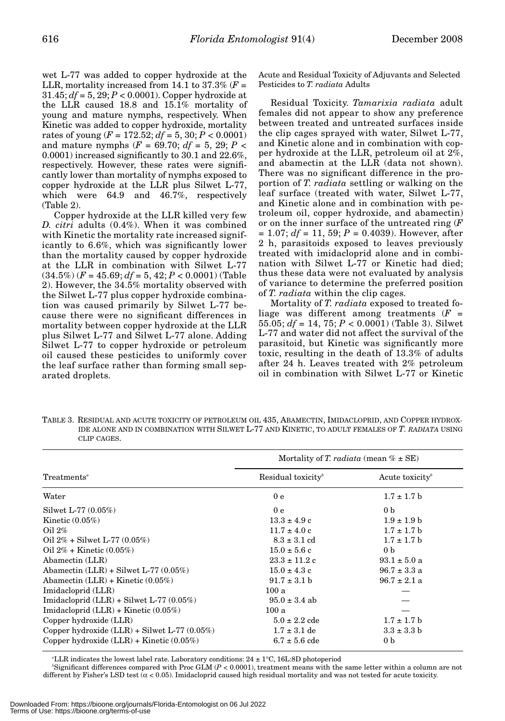wet L-77 was added to copper hydroxide at the LLR, mortality increased from 14.1 to  $37.3\%$  ( $F =$ 31.45;  $df = 5$ , 29;  $P < 0.0001$ ). Copper hydroxide at the LLR caused 18.8 and 15.1% mortality of young and mature nymphs, respectively. When Kinetic was added to copper hydroxide, mortality rates of young  $(F = 172.52; df = 5, 30; P < 0.0001)$ and mature nymphs ( $F = 69.70$ ;  $df = 5$ , 29;  $P <$ 0.0001) increased significantly to 30.1 and 22.6%, respectively. However, these rates were significantly lower than mortality of nymphs exposed to copper hydroxide at the LLR plus Silwet L-77, which were 64.9 and 46.7%, respectively (Table 2).

Copper hydroxide at the LLR killed very few *D. citri* adults (0.4%). When it was combined with Kinetic the mortality rate increased significantly to 6.6%, which was significantly lower than the mortality caused by copper hydroxide at the LLR in combination with Silwet L-77  $(34.5\%)$   $(F = 45.69; df = 5, 42; P < 0.0001)$  (Table 2). However, the 34.5% mortality observed with the Silwet L-77 plus copper hydroxide combination was caused primarily by Silwet L-77 because there were no significant differences in mortality between copper hydroxide at the LLR plus Silwet L-77 and Silwet L-77 alone. Adding Silwet L-77 to copper hydroxide or petroleum oil caused these pesticides to uniformly cover the leaf surface rather than forming small separated droplets.

Acute and Residual Toxicity of Adjuvants and Selected Pesticides to *T. radiata* Adults

Residual Toxicity. *Tamarixia radiata* adult females did not appear to show any preference between treated and untreated surfaces inside the clip cages sprayed with water, Silwet L-77, and Kinetic alone and in combination with copper hydroxide at the LLR, petroleum oil at 2%, and abamectin at the LLR (data not shown). There was no significant difference in the proportion of *T. radiata* settling or walking on the leaf surface (treated with water, Silwet L-77, and Kinetic alone and in combination with petroleum oil, copper hydroxide, and abamectin) or on the inner surface of the untreated ring (*F*  $= 1.07$ ; *df* = 11, 59; *P* = 0.4039). However, after 2 h, parasitoids exposed to leaves previously treated with imidacloprid alone and in combination with Silwet L-77 or Kinetic had died; thus these data were not evaluated by analysis of variance to determine the preferred position of *T. radiata* within the clip cages.

Mortality of *T. radiata* exposed to treated foliage was different among treatments (*F* = 55.05; *df* = 14, 75; *P* < 0.0001) (Table 3). Silwet L-77 and water did not affect the survival of the parasitoid, but Kinetic was significantly more toxic, resulting in the death of 13.3% of adults after 24 h. Leaves treated with 2% petroleum oil in combination with Silwet L-77 or Kinetic

TABLE 3. RESIDUAL AND ACUTE TOXICITY OF PETROLEUM OIL 435, ABAMECTIN, IMIDACLOPRID, AND COPPER HYDROX-IDE ALONE AND IN COMBINATION WITH SILWET L-77 AND KINETIC, TO ADULT FEMALES OF *T. RADIATA* USING CLIP CAGES.

|                                                   | Mortality of T. radiata (mean $\% \pm SE$ ) |                             |  |  |
|---------------------------------------------------|---------------------------------------------|-----------------------------|--|--|
| Treatments <sup>a</sup>                           | Residual toxicity $\phi$                    | Acute toxicity <sup>b</sup> |  |  |
| Water                                             | 0 <sub>e</sub>                              | $1.7 \pm 1.7$ b             |  |  |
| Silwet L-77 (0.05%)                               | 0 <sub>e</sub>                              | 0 <sub>b</sub>              |  |  |
| Kinetic $(0.05\%)$                                | $13.3 \pm 4.9$ c                            | $1.9 \pm 1.9 b$             |  |  |
| Oil $2\%$                                         | $11.7 \pm 4.0 \text{ c}$                    | $1.7 \pm 1.7$ b             |  |  |
| Oil $2\%$ + Silwet L-77 (0.05%)                   | $8.3 \pm 3.1$ cd                            | $1.7 \pm 1.7$ b             |  |  |
| Oil $2\%$ + Kinetic $(0.05\%)$                    | $15.0 \pm 5.6$ c                            | 0 <sub>b</sub>              |  |  |
| Abamectin (LLR)                                   | $23.3 \pm 11.2$ c                           | $93.1 \pm 5.0$ a            |  |  |
| Abamectin $(LLR)$ + Silwet L-77 $(0.05\%)$        | $15.0 \pm 4.3$ c                            | $96.7 \pm 3.3$ a            |  |  |
| Abamectin $(LLR)$ + Kinetic $(0.05\%)$            | $91.7 \pm 3.1$ b                            | $96.7 \pm 2.1$ a            |  |  |
| Imidacloprid (LLR)                                | 100a                                        |                             |  |  |
| Imidacloprid $(LLR)$ + Silwet L-77 $(0.05\%)$     | $95.0 \pm 3.4$ ab                           |                             |  |  |
| Imidacloprid $(LLR)$ + Kinetic $(0.05\%)$         | 100a                                        |                             |  |  |
| Copper hydroxide (LLR)                            | $5.0 \pm 2.2$ cde                           | $1.7 \pm 1.7$ b             |  |  |
| Copper hydroxide $(LLR)$ + Silwet L-77 $(0.05\%)$ | $1.7 \pm 3.1$ de                            | $3.3 \pm 3.3 b$             |  |  |
| Copper hydroxide $(LLR)$ + Kinetic $(0.05\%)$     | $6.7 \pm 5.6$ cde                           | 0 <sub>b</sub>              |  |  |

*a* LLR indicates the lowest label rate. Laboratory conditions: 24 ± 1°C, 16L:8D photoperiod

*b* Significant differences compared with Proc GLM (*P* < 0.0001), treatment means with the same letter within a column are not different by Fisher's LSD test  $(\alpha < 0.05)$ . Imidacloprid caused high residual mortality and was not tested for acute toxicity.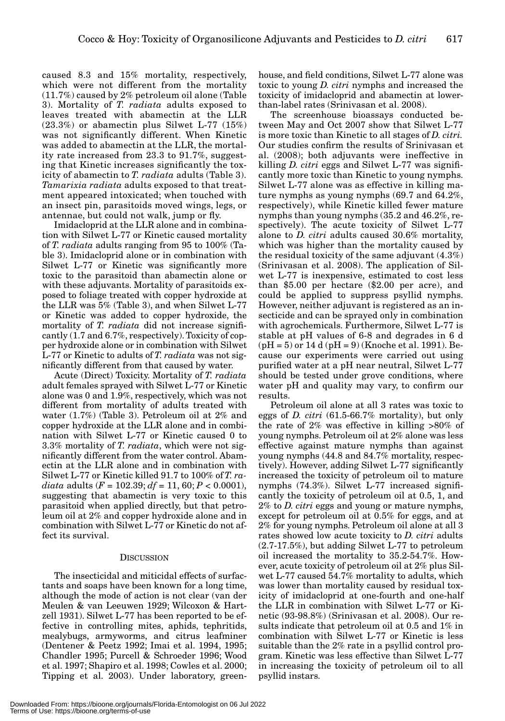caused 8.3 and 15% mortality, respectively, which were not different from the mortality (11.7%) caused by 2% petroleum oil alone (Table 3). Mortality of *T. radiata* adults exposed to leaves treated with abamectin at the LLR (23.3%) or abamectin plus Silwet L-77 (15%) was not significantly different. When Kinetic was added to abamectin at the LLR, the mortality rate increased from 23.3 to 91.7%, suggesting that Kinetic increases significantly the toxicity of abamectin to *T. radiata* adults (Table 3). *Tamarixia radiata* adults exposed to that treatment appeared intoxicated; when touched with an insect pin, parasitoids moved wings, legs, or antennae, but could not walk, jump or fly.

Imidacloprid at the LLR alone and in combination with Silwet L-77 or Kinetic caused mortality of *T. radiata* adults ranging from 95 to 100% (Table 3). Imidacloprid alone or in combination with Silwet L-77 or Kinetic was significantly more toxic to the parasitoid than abamectin alone or with these adjuvants. Mortality of parasitoids exposed to foliage treated with copper hydroxide at the LLR was 5% (Table 3), and when Silwet L-77 or Kinetic was added to copper hydroxide, the mortality of *T. radiata* did not increase significantly (1.7 and 6.7%, respectively). Toxicity of copper hydroxide alone or in combination with Silwet L-77 or Kinetic to adults of *T. radiata* was not significantly different from that caused by water.

Acute (Direct) Toxicity. Mortality of *T. radiata* adult females sprayed with Silwet L-77 or Kinetic alone was 0 and 1.9%, respectively, which was not different from mortality of adults treated with water (1.7%) (Table 3). Petroleum oil at 2% and copper hydroxide at the LLR alone and in combination with Silwet L-77 or Kinetic caused 0 to 3.3% mortality of *T. radiata*, which were not significantly different from the water control. Abamectin at the LLR alone and in combination with Silwet L-77 or Kinetic killed 91.7 to 100% of *T. radiata* adults (*F* = 102.39; *df* = 11, 60; *P* < 0.0001), suggesting that abamectin is very toxic to this parasitoid when applied directly, but that petroleum oil at 2% and copper hydroxide alone and in combination with Silwet L-77 or Kinetic do not affect its survival.

#### **DISCUSSION**

The insecticidal and miticidal effects of surfactants and soaps have been known for a long time, although the mode of action is not clear (van der Meulen & van Leeuwen 1929; Wilcoxon & Hartzell 1931). Silwet L-77 has been reported to be effective in controlling mites, aphids, tephritids, mealybugs, armyworms, and citrus leafminer (Dentener & Peetz 1992; Imai et al. 1994, 1995; Chandler 1995; Purcell & Schroeder 1996; Wood et al. 1997; Shapiro et al. 1998; Cowles et al. 2000; Tipping et al. 2003). Under laboratory, greenhouse, and field conditions, Silwet L-77 alone was toxic to young *D. citri* nymphs and increased the toxicity of imidacloprid and abamectin at lowerthan-label rates (Srinivasan et al. 2008).

The screenhouse bioassays conducted between May and Oct 2007 show that Silwet L-77 is more toxic than Kinetic to all stages of *D. citri.* Our studies confirm the results of Srinivasan et al. (2008); both adjuvants were ineffective in killing *D. citri* eggs and Silwet L-77 was significantly more toxic than Kinetic to young nymphs. Silwet L-77 alone was as effective in killing mature nymphs as young nymphs (69.7 and 64.2%, respectively), while Kinetic killed fewer mature nymphs than young nymphs (35.2 and 46.2%, respectively). The acute toxicity of Silwet L-77 alone to *D. citri* adults caused 30.6% mortality, which was higher than the mortality caused by the residual toxicity of the same adjuvant (4.3%) (Srinivasan et al. 2008). The application of Silwet L-77 is inexpensive, estimated to cost less than \$5.00 per hectare (\$2.00 per acre), and could be applied to suppress psyllid nymphs. However, neither adjuvant is registered as an insecticide and can be sprayed only in combination with agrochemicals. Furthermore, Silwet L-77 is stable at pH values of 6-8 and degrades in 6 d  $(pH = 5)$  or 14 d  $(pH = 9)$  (Knoche et al. 1991). Because our experiments were carried out using purified water at a pH near neutral, Silwet L-77 should be tested under grove conditions, where water pH and quality may vary, to confirm our results.

Petroleum oil alone at all 3 rates was toxic to eggs of *D. citri* (61.5-66.7% mortality), but only the rate of 2% was effective in killing >80% of young nymphs. Petroleum oil at 2% alone was less effective against mature nymphs than against young nymphs (44.8 and 84.7% mortality, respectively). However, adding Silwet L-77 significantly increased the toxicity of petroleum oil to mature nymphs (74.3%). Silwet L-77 increased significantly the toxicity of petroleum oil at 0.5, 1, and 2% to *D. citri* eggs and young or mature nymphs, except for petroleum oil at 0.5% for eggs, and at 2% for young nymphs. Petroleum oil alone at all 3 rates showed low acute toxicity to *D. citri* adults (2.7-17.5%), but adding Silwet L-77 to petroleum oil increased the mortality to 35.2-54.7%. However, acute toxicity of petroleum oil at 2% plus Silwet L-77 caused 54.7% mortality to adults, which was lower than mortality caused by residual toxicity of imidacloprid at one-fourth and one-half the LLR in combination with Silwet L-77 or Kinetic (93-98.8%) (Srinivasan et al. 2008). Our results indicate that petroleum oil at 0.5 and 1% in combination with Silwet L-77 or Kinetic is less suitable than the 2% rate in a psyllid control program. Kinetic was less effective than Silwet L-77 in increasing the toxicity of petroleum oil to all psyllid instars.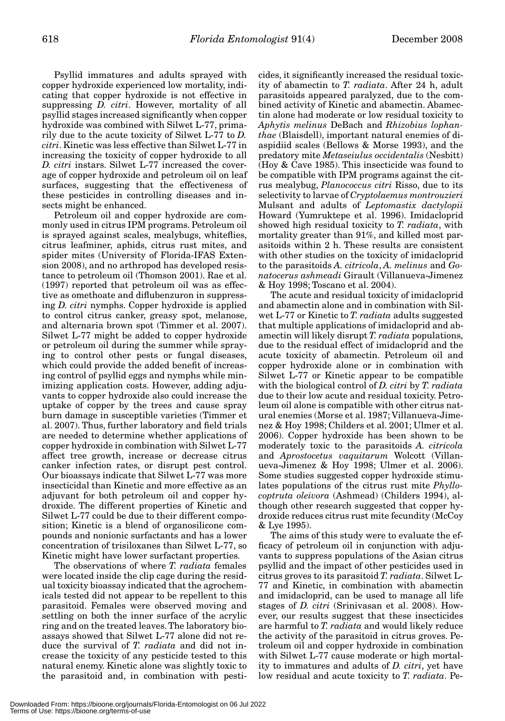Psyllid immatures and adults sprayed with copper hydroxide experienced low mortality, indicating that copper hydroxide is not effective in suppressing *D. citri*. However, mortality of all psyllid stages increased significantly when copper hydroxide was combined with Silwet L-77, primarily due to the acute toxicity of Silwet L-77 to *D. citri*. Kinetic was less effective than Silwet L-77 in increasing the toxicity of copper hydroxide to all *D. citri* instars. Silwet L-77 increased the coverage of copper hydroxide and petroleum oil on leaf surfaces, suggesting that the effectiveness of these pesticides in controlling diseases and insects might be enhanced.

Petroleum oil and copper hydroxide are commonly used in citrus IPM programs. Petroleum oil is sprayed against scales, mealybugs, whiteflies, citrus leafminer, aphids, citrus rust mites, and spider mites (University of Florida-IFAS Extension 2008), and no arthropod has developed resistance to petroleum oil (Thomson 2001). Rae et al. (1997) reported that petroleum oil was as effective as omethoate and diflubenzuron in suppressing *D. citri* nymphs. Copper hydroxide is applied to control citrus canker, greasy spot, melanose, and alternaria brown spot (Timmer et al. 2007). Silwet L-77 might be added to copper hydroxide or petroleum oil during the summer while spraying to control other pests or fungal diseases, which could provide the added benefit of increasing control of psyllid eggs and nymphs while minimizing application costs. However, adding adjuvants to copper hydroxide also could increase the uptake of copper by the trees and cause spray burn damage in susceptible varieties (Timmer et al. 2007). Thus, further laboratory and field trials are needed to determine whether applications of copper hydroxide in combination with Silwet L-77 affect tree growth, increase or decrease citrus canker infection rates, or disrupt pest control. Our bioassays indicate that Silwet L-77 was more insecticidal than Kinetic and more effective as an adjuvant for both petroleum oil and copper hydroxide. The different properties of Kinetic and Silwet L-77 could be due to their different composition; Kinetic is a blend of organosilicone compounds and nonionic surfactants and has a lower concentration of trisiloxanes than Silwet L-77, so Kinetic might have lower surfactant properties.

The observations of where *T. radiata* females were located inside the clip cage during the residual toxicity bioassay indicated that the agrochemicals tested did not appear to be repellent to this parasitoid. Females were observed moving and settling on both the inner surface of the acrylic ring and on the treated leaves. The laboratory bioassays showed that Silwet L-77 alone did not reduce the survival of *T. radiata* and did not increase the toxicity of any pesticide tested to this natural enemy. Kinetic alone was slightly toxic to the parasitoid and, in combination with pesticides, it significantly increased the residual toxicity of abamectin to *T. radiata*. After 24 h, adult parasitoids appeared paralyzed, due to the combined activity of Kinetic and abamectin. Abamectin alone had moderate or low residual toxicity to *Aphytis melinus* DeBach and *Rhizobius lophanthae* (Blaisdell), important natural enemies of diaspidiid scales (Bellows & Morse 1993), and the predatory mite *Metaseiulus occidentalis* (Nesbitt) (Hoy & Cave 1985). This insecticide was found to be compatible with IPM programs against the citrus mealybug, *Planococcus citri* Risso, due to its selectivity to larvae of *Cryptolaemus montrouzieri* Mulsant and adults of *Leptomastix dactylopii* Howard (Yumruktepe et al. 1996). Imidacloprid showed high residual toxicity to *T. radiata*, with mortality greater than 91%, and killed most parasitoids within 2 h. These results are consistent with other studies on the toxicity of imidacloprid to the parasitoids *A. citricola*, *A. melinus* and *Gonatocerus ashmeadi* Girault (Villanueva-Jimenez & Hoy 1998; Toscano et al. 2004).

The acute and residual toxicity of imidacloprid and abamectin alone and in combination with Silwet L-77 or Kinetic to *T. radiata* adults suggested that multiple applications of imidacloprid and abamectin will likely disrupt *T. radiata* populations, due to the residual effect of imidacloprid and the acute toxicity of abamectin. Petroleum oil and copper hydroxide alone or in combination with Silwet L-77 or Kinetic appear to be compatible with the biological control of *D. citri* by *T. radiata* due to their low acute and residual toxicity. Petroleum oil alone is compatible with other citrus natural enemies (Morse et al. 1987; Villanueva-Jimenez & Hoy 1998; Childers et al. 2001; Ulmer et al. 2006). Copper hydroxide has been shown to be moderately toxic to the parasitoids *A. citricola* and *Aprostocetus vaquitarum* Wolcott (Villanueva-Jimenez & Hoy 1998; Ulmer et al. 2006). Some studies suggested copper hydroxide stimulates populations of the citrus rust mite *Phyllocoptruta oleivora* (Ashmead) (Childers 1994), although other research suggested that copper hydroxide reduces citrus rust mite fecundity (McCoy & Lye 1995).

The aims of this study were to evaluate the efficacy of petroleum oil in conjunction with adjuvants to suppress populations of the Asian citrus psyllid and the impact of other pesticides used in citrus groves to its parasitoid *T. radiata*. Silwet L-77 and Kinetic, in combination with abamectin and imidacloprid, can be used to manage all life stages of *D. citri* (Srinivasan et al. 2008). However, our results suggest that these insecticides are harmful to *T. radiata* and would likely reduce the activity of the parasitoid in citrus groves. Petroleum oil and copper hydroxide in combination with Silwet L-77 cause moderate or high mortality to immatures and adults of *D. citri*, yet have low residual and acute toxicity to *T. radiata*. Pe-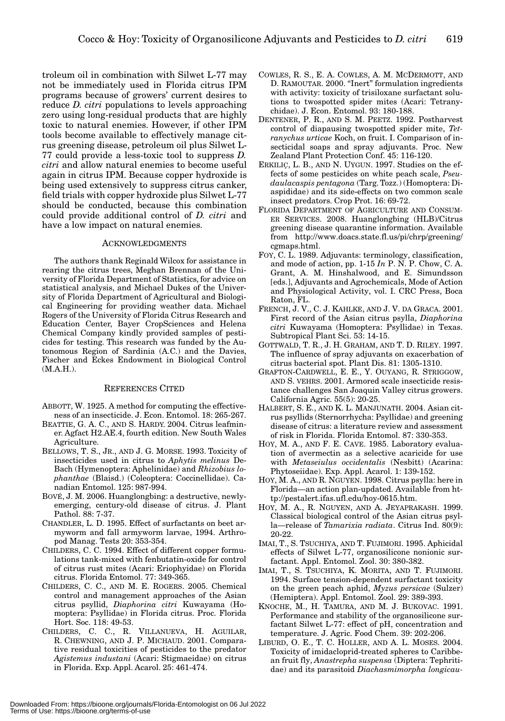troleum oil in combination with Silwet L-77 may not be immediately used in Florida citrus IPM programs because of growers' current desires to reduce *D. citri* populations to levels approaching zero using long-residual products that are highly toxic to natural enemies. However, if other IPM tools become available to effectively manage citrus greening disease, petroleum oil plus Silwet L-77 could provide a less-toxic tool to suppress *D. citri* and allow natural enemies to become useful again in citrus IPM. Because copper hydroxide is being used extensively to suppress citrus canker, field trials with copper hydroxide plus Silwet L-77 should be conducted, because this combination could provide additional control of *D. citri* and have a low impact on natural enemies.

#### ACKNOWLEDGMENTS

The authors thank Reginald Wilcox for assistance in rearing the citrus trees, Meghan Brennan of the University of Florida Department of Statistics, for advice on statistical analysis, and Michael Dukes of the University of Florida Department of Agricultural and Biological Engineering for providing weather data. Michael Rogers of the University of Florida Citrus Research and Education Center, Bayer CropSciences and Helena Chemical Company kindly provided samples of pesticides for testing. This research was funded by the Autonomous Region of Sardinia (A.C.) and the Davies, Fischer and Eckes Endowment in Biological Control  $(M.A.H.).$ 

#### REFERENCES CITED

- ABBOTT, W. 1925. A method for computing the effectiveness of an insecticide. J. Econ. Entomol. 18: 265-267.
- BEATTIE, G. A. C., AND S. HARDY. 2004. Citrus leafminer. Agfact H2.AE.4, fourth edition. New South Wales Agriculture.
- BELLOWS, T. S., JR., AND J. G. MORSE. 1993. Toxicity of insecticides used in citrus to *Aphytis melinus* De-Bach (Hymenoptera: Aphelinidae) and *Rhizobius lophanthae* (Blaisd.) (Coleoptera: Coccinellidae). Canadian Entomol. 125: 987-994.
- BOVÉ, J. M. 2006. Huanglongbing: a destructive, newlyemerging, century-old disease of citrus. J. Plant Pathol. 88: 7-37.
- CHANDLER, L. D. 1995. Effect of surfactants on beet armyworm and fall armyworm larvae, 1994. Arthropod Manag. Tests 20: 353-354.
- CHILDERS, C. C. 1994. Effect of different copper formulations tank-mixed with fenbutatin-oxide for control of citrus rust mites (Acari: Eriophyidae) on Florida citrus. Florida Entomol. 77: 349-365.
- CHILDERS, C. C., AND M. E. ROGERS. 2005. Chemical control and management approaches of the Asian citrus psyllid, *Diaphorina citri* Kuwayama (Homoptera: Psyllidae) in Florida citrus. Proc. Florida Hort. Soc. 118: 49-53.
- CHILDERS, C. C., R. VILLANUEVA, H. AGUILAR, R. CHEWNING, AND J. P. MICHAUD. 2001. Comparative residual toxicities of pesticides to the predator *Agistemus industani* (Acari: Stigmaeidae) on citrus in Florida. Exp. Appl. Acarol. 25: 461-474.
- COWLES, R. S., E. A. COWLES, A. M. MCDERMOTT, AND D. RAMOUTAR. 2000. "Inert" formulation ingredients with activity: toxicity of trisiloxane surfactant solutions to twospotted spider mites (Acari: Tetranychidae). J. Econ. Entomol. 93: 180-188.
- DENTENER, P. R., AND S. M. PEETZ. 1992. Postharvest control of diapausing twospotted spider mite, *Tetranychus urticae* Koch, on fruit. I. Comparison of insecticidal soaps and spray adjuvants. Proc. New Zealand Plant Protection Conf. 45: 116-120.
- ERKILIÇ, L. B., AND N. UYGUN. 1997. Studies on the effects of some pesticides on white peach scale, *Pseudaulacaspis pentagona* (Targ. Tozz.) (Homoptera: Diaspididae) and its side-effects on two common scale insect predators. Crop Prot. 16: 69-72.
- FLORIDA DEPARTMENT OF AGRICULTURE AND CONSUM-ER SERVICES. 2008. Huanglongbing (HLB)/Citrus greening disease quarantine information. Available from http://www.doacs.state.fl.us/pi/chrp/greening/ cgmaps.html.
- FOY, C. L. 1989. Adjuvants: terminology, classification, and mode of action, pp. 1-15 *In* P. N. P. Chow, C. A. Grant, A. M. Hinshalwood, and E. Simundsson [eds.], Adjuvants and Agrochemicals, Mode of Action and Physiological Activity, vol. I. CRC Press, Boca Raton, FL.
- FRENCH, J. V., C. J. KAHLKE, AND J. V. DA GRACA. 2001. First record of the Asian citrus psylla, *Diaphorina citri* Kuwayama (Homoptera: Psyllidae) in Texas. Subtropical Plant Sci. 53: 14-15.
- GOTTWALD, T. R., J. H. GRAHAM, AND T. D. RILEY. 1997. The influence of spray adjuvants on exacerbation of citrus bacterial spot. Plant Dis. 81: 1305-1310.
- GRAFTON-CARDWELL, E. E., Y. OUYANG, R. STRIGGOW, AND S. VEHRS. 2001. Armored scale insecticide resistance challenges San Joaquin Valley citrus growers. California Agric. 55(5): 20-25.
- HALBERT, S. E., AND K. L. MANJUNATH. 2004. Asian citrus psyllids (Sternorrhycha: Psyllidae) and greening disease of citrus: a literature review and assessment of risk in Florida. Florida Entomol. 87: 330-353.
- HOY, M. A., AND F. E. CAVE. 1985. Laboratory evaluation of avermectin as a selective acaricide for use with *Metaseiulus occidentalis* (Nesbitt) (Acarina: Phytoseiidae). Exp. Appl. Acarol. 1: 139-152.
- HOY, M. A., AND R. NGUYEN. 1998. Citrus psylla: here in Florida—an action plan-updated. Available from http://pestalert.ifas.ufl.edu/hoy-0615.htm.
- HOY, M. A., R. NGUYEN, AND A. JEYAPRAKASH. 1999. Classical biological control of the Asian citrus psylla—release of *Tamarixia radiata*. Citrus Ind. 80(9): 20-22.
- IMAI, T., S. TSUCHIYA, AND T. FUJIMORI. 1995. Aphicidal effects of Silwet L-77, organosilicone nonionic surfactant. Appl. Entomol. Zool. 30: 380-382.
- IMAI, T., S. TSUCHIYA, K. MORITA, AND T. FUJIMORI. 1994. Surface tension-dependent surfactant toxicity on the green peach aphid, *Myzus persicae* (Sulzer) (Hemiptera). Appl. Entomol. Zool. 29: 389-393.
- KNOCHE, M., H. TAMURA, AND M. J. BUKOVAC. 1991. Performance and stability of the organosilicone surfactant Silwet L-77: effect of pH, concentration and temperature. J. Agric. Food Chem. 39: 202-206.
- LIBURD, O. E., T. C. HOLLER, AND A. L. MOSES. 2004. Toxicity of imidacloprid-treated spheres to Caribbean fruit fly, *Anastrepha suspensa* (Diptera: Tephritidae) and its parasitoid *Diachasmimorpha longicau-*